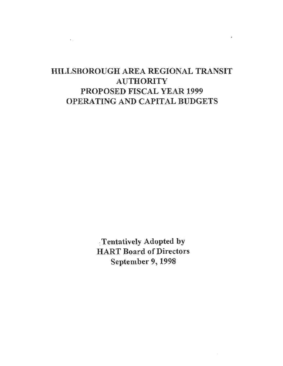# HILLSBOROUGH AREA REGIONAL TRANSIT **AUTHORITY** PROPOSED FISCAL YEAR 1999 OPERATING AND CAPITAL BUDGETS

 $\epsilon$  .

 $\ddot{\phantom{a}}$ 

'. Tentatively Adopted by HART Board of Directors September 9, 1998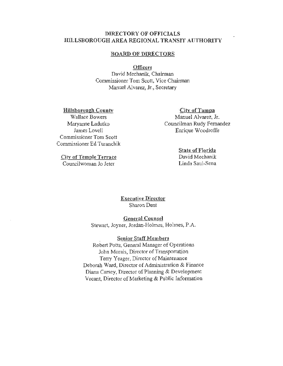## DIRECTORY OF OFFICIALS HILLSBOROUGH AREA REGIONAL TRANSIT AUTHORITY

### BOARD OF DIRECTOR&

#### **Officers**

David Mechanik, Chairman Commissioner Tom Scott, Vice Chairman Manuel Alvarez, Jr., Secretary

Hillsborough Countv Wallace Bowers Maryanne Ladutko James Lovell Commissioner Tom Scott Commissioner Ed Turanchik

City of Temple Terrace Councilwoman Jo Jeter

City of Tampa Manuel Alvarez, Jr. Councilman Rudy Fernandez Enrique Woodroffe

## State of Florida

David Mechanik Linda Saul-Sena

Executive Director Sharon Dent

### General Counsel

Stewart, Joyner, Jordan-Holmes, Holmes, P.A.

Senior Staff Members

Robert Potts, General Manager of Operations John Morais, Director of Transportation Terry Yeager, Director of Maintenance Deborah Ward, Director of Administration & Finance Diana Carsey, Director of Planning & Development Vacant, Director of Marketing & Public Information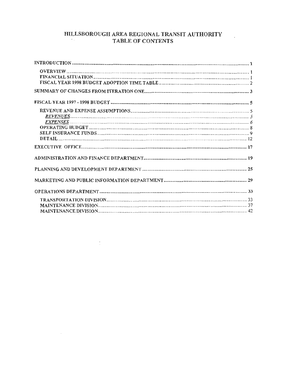#### HILLSBOROUGH AREA REGIONAL TRANSIT AUTHORITY  $\sigma_{\rm{eff}}$ TABLE OF CONTENTS

 $\mathcal{L}^{\mathbb{R}}$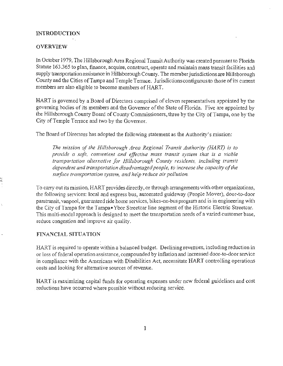## INTRODUCTION

### **OVERVIEW**

In October 1979, The Hillsborough Area Regional Transit Authority was created pursuant to Florida Statute 163.365 to plan, finance, acquire, construct, operate and maintain mass transit facilities and supply transportation assistance in Hillsborough County. The member jurisdictions are Hillsborough County and the Cities of Tampa and Temple Terrace. Jurisdictions contiguous to those of its current members are also eligible to become members of HART.

HART is governed by a Board of Directors comprised of eleven representatives appointed by the governing bodies of its members and the Governor of the State of Florida. Five are appointed by the Hillsborough County Board of County Commissioners, three by the City of Tampa, one by the City of Temple Terrace and two by the Governor.

The Board of Directors has adopted the following statement as the Authority's mission:

*The mission of the Hillsborough Area Regional Transit Authority (HART) is to provide a safe, convenient and effective mass transit system that is a viable transportation alternative for Hillsborough County residents, including transit dependent and transportation disadvantaged people, to increase the capacity of the siaface transportation system, and help reduce air pollution.* 

To carry out its mission, HART provides directly, or through arrangements with other organizations, the following services: local and express bus, automated guideway (People Mover), door-to-door paratransit, vanpool, guaranteed ride home services, bikes-on-bus program and is in engineering with the City of Tampa for the Tampa• Ybor Streetcar line segment of the Historic Electric Streetcar. This multi-modal approach is designed to meet the transportation needs of a varied customer base, reduce congestion and improve air quality.

### FINANCIAL SITUATION

HART is required to operate within a balanced budget. Declining revenues, including reduction in or loss of federal operation assistance, compounded by inflation and increased door-to-door service in compliance with the Americans with Disabilities Act, necessitate HART controlling operations costs and looking for alternative sources of revenue.

HART is maximizing capital funds for operating expenses under new federal guidelines and cost reductions have occurred where possible without reducing service.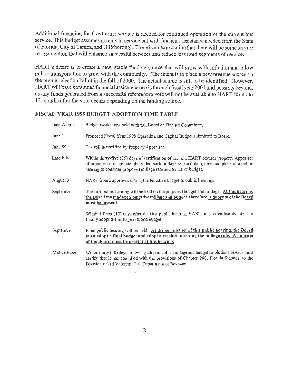Additional financing for fixed route service is needed for continued operation of the current bus service. This budget assumes no cuts in service but with financial assistance needed from the State of Florida, City of Tampa, and Hillsborough. There is an expectation that there will be some service reorganization that will enhance successful services and reduce less used segments of service.

HART's desire is to create a new, stable funding source that will grow with inflation and allow public transportation to grow with the community. The intent is to place a new revenue source on the regular election ballot in the fall of 2000. The actual source is still to be identified. However, HART will have continued financial assistance needs through fiscal year 2001 and possibly beyond, as any funds generated from a successful referendum vote will not be available to HART for up to 12 months after the vote occurs depending on the funding source.

## FISCAL YEAR 1999 BUDGET ADOPTION TIME TABLE

| June-August | Budget workshops held with full Board or Finance Committee.                                                                                                                                                                                                  |
|-------------|--------------------------------------------------------------------------------------------------------------------------------------------------------------------------------------------------------------------------------------------------------------|
| June 1      | Proposed Fiscal Year 1999 Operating and Capital Budget submitted to Board.                                                                                                                                                                                   |
| June 30     | Tax roll is certified by Property Appraiser.                                                                                                                                                                                                                 |
| Late July   | Within thirty-five (35) days of certification of tax roll, HART advises Property Appraiser<br>of proposed millage rate, the rolled back millage rate and date, time and place of a public<br>hearing to consider proposed millage rate and tentative budget. |
| August 3    | HART Board approves taking the tentative buriget to public hearings.                                                                                                                                                                                         |
| September   | The first public hearing will be held on the proposed budget and millage. At this hearing,<br>the Board must adopt a tentative millage and budget, therefore, a quorum of the Board<br>must be present.                                                      |
|             | Within fifteen (15) days after the first public hearing, HART must advertise its intent to<br>finally adopt the millage rate and budget.                                                                                                                     |
| September   | Final public hearing will be held. At the completion of this public hearing, the Board<br>must adopt a final budget and adopt a resolution setting the millage rate. A quorum<br>of the Board must be present at this hearing.                               |
| Mid-October | Within thirty (30) days following adoption of its millage and budget resolutions, HART must<br>certify that it has complied with the provisions of Chapter 200, Florida Statutes, to the<br>Division of Ad Valorem Tax, Department of Revenue.               |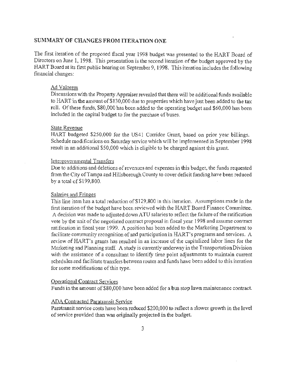### **SUMMARY OF-CHANGES FROM ITERATION ONE**

The first iteration of the proposed fiscal year 1998 budget was presented to the HART Board of Directors on June 1, 1998. This presentation is the second iteration of the budget approved by the HART Board at its first public hearing on September 9, 1998. This iteration includes the following financial changes:

### Ad Valorem

Discussions with the Property Appraiser revealed that there will be additional funds available to HART in the amount of \$130,000 due to properties which have just been added to the tax roll. Of these funds, \$80,000 has been added to the operating budget and \$60,000 has been included in the capital budget to for the purchase of buses.

#### State Revenue

HART budgeted \$250,000 for the US41 Corridor Grant, based on prior year billings. Schedule modifications on Saturday service which will be implemented in September 1998 result in an additional \$50,000 which is eligible to be charged against this grant.

### Intergovernmental Transfers

Due to additions and deletions of revenues and expenses in this budget, the funds requested from the City of Tampa and Hillsborough County to cover deficit funding have been reduced by a total of \$199 ,800.

#### Salaries and Fringes

This line item has a total reduction of \$129 ,800 in this iteration. Assumptions made in the first iteration of the budget have been reviewed with the HART Board Finance Committee. A decision was made to adjusted down A TU salaries to reflect the failure of the ratification vote by the unit of the negotiated contract proposal in fiscal year 1998 and assume contract ratification in fiscal year 1999. A position has been added to the Marketing Department to facilitate community recognition of and participation in HART's programs and services. A review of HART's grants has resulted in an increase of the capitalized labor lines for the Marketing and Planning staff. A study is currently underway in the Transportation Division with the assistance of a consultant to identify time point adjustments to maintain current schedules and facilitate transfers between routes and funds have been added to this iteration for some modifications of this type.

### Operational Contract Services

Funds in the amount of \$80,000 have been added for a bus stop lawn maintenance contract.

### ADA Contracted Paratransit Service

.Paratransit service costs have been reduced \$200,000 to reflect a slower growth in the level of service provided than was originally projected in the budget.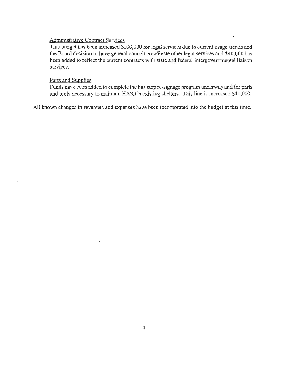## Adminisrrative Contract Services

This budget has been increased \$100,000 for legal services due to current usage trends and the Board decision to have general council coordinate other legal services and \$40,000 has been added to reflect the current contracts with state and federal intergovernmental liaison services.

### Parts and Supplies

Funds have been added to complete the bus stop re-signage program underway and for parts and tools necessary to maintain HART's existing shelters. This line is increased \$40,000.

All known changes in revenues and expenses have been incorporated into the budget at this time.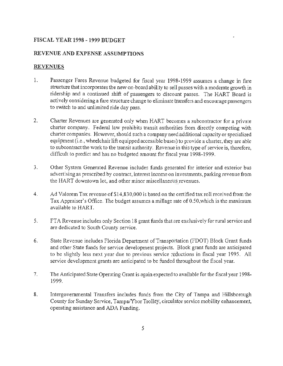## **FISCAL YEAR 1998 - 1999 BUDGET**

## **REVENUE AND EXPENSE ASSUMPTIONS**

## **REVENUES**

- 1. Passenger Fares Revenue budgeted for fiscal year 1998-1999 assumes a change in fare structure that incorporates the new on-board ability to sell passes with a moderate growth in ridership and a continued shift of passengers to discount passes. The HART Board is actively considering a fare structure change to eliminate transfers and encourage passengers to switch to and unlimited ride day pass.
- 2. Charter Revenues are generated only when HART becomes a subcontractor for a private charter company. Federal law prohibits transit authorities from directly competing with charter companies. However, should such a company need additional capacity or specialized equipment (i.e., wheelchair lift equipped accessible buses) to provide a charter, they are able to subcontract the work to the transit authority. Revenue in this type of service is, therefore, difficult to predict and has no budgeted amount for fiscal year 1998-1999.
- 3. Other System Generated Revenue includes funds generated for interior and exterior bus advertising as prescribed by contract, interest income on investments, parking revenue from the HART downtown lot, and other minor miscellaneous revenues.
- 4. Ad Valorem Tax revenue of\$14,830,000 is based on the certified tax roll received from the Tax Appraiser's Office. The budget assumes a millage rate of 0.50,which is the maximum available to HART.
- 5. FTA Revenue includes only Section 18 grant funds that are exclusively for rural service and are dedicated to South County service.
- 6. State Revenue includes Florida Department of Transportation (FDOT) Block Grant funds and other State funds for service development projects. Block grant funds are anticipated to be slightly less next year due to previous service reductions in fiscal year 1995. All service development grants are anticipated to be funded throughout the fiscal year.
- 7. The Anticipated State Operating Grant is again expected to available for the fiscal year 1998- 1999.
- 8. Intergovernmental Transfers includes funds from the City of Tampa and Hillsborough County for Sunday Service, Tampa/Ybor Trolley, circulator service mobility enhancement, operating assistance and ADA Funding.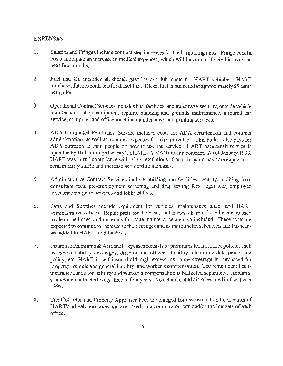### **EXPENSES**

 $\gamma$  .

- 1. Salaries and Fringes include contract step increases for the bargaining units. Fringe benefit costs anticipate an increase in medical expenses, which will be competitively bid over the next few months.
- 2. Fuel and Oil includes all diesel, gasoline and lubricants for HART vehicles. HART purchases futures contracts for diesel fuel. Diesel fuel is budgeted at approximately 65 cents per gallon
- 3. Operational Contract Services includes bus, facilities, and transitway security, outside vehicle maintenance, shop equipment repairs, building and grounds maintenance, armored car service, computer and office machine maintenance, and printing services.
- 4. ADA Contracted Paratransit Service includes costs for ADA certification and contract administration, as well as, contract expenses for trips provided. This budget also pays for ADA outreach to train people on how to use the service. HART paratransit service is operated by Hillsborough County's SHARE-A-VAN under a contract. As of January 1998, HART was in full compliance with ADA regulations. Costs for paratransit are expected to remain fairly stable and increase as ridership increases.
- 5. Administrative Contract Services include building and facilities security, auditing fees, consultant fees, pre-employment screening and drug testing fees, legal fees, employee assistance program services and lobbyist fees.
- 6. Parts and Supplies include equipment for vehicles, maintenance shop, and HART administrative offices. Repair parts for the buses and trucks, chemicals and cleaners used to clean the buses, and materials for route maintenance are also included. These costs are expected to continue to increase as the fleet ages and as more shelters, benches and trashcans are added to HART field facilities.
- 7. Insurance Premiums & Actuarial Expenses consists of premiums for insurance policies such as excess liability coverages, director and officer's liability, electronic data processing policy, etc. HART is self-insured although excess insurance coverage is purchased for property, vehicle and general liability, and worker's compensation. The remainder of selfinsurance funds for liability and worker's compensation is budgeted separately. Actuarial studies are contracted every three to four years. No actuarial study is scheduled in fiscal year 1999.
- 8. Tax Collector and Property Appraiser Fees are charged for assessment and collection of HART's ad valorem taxes and are based on a commission rate and/or the budgets of each office ..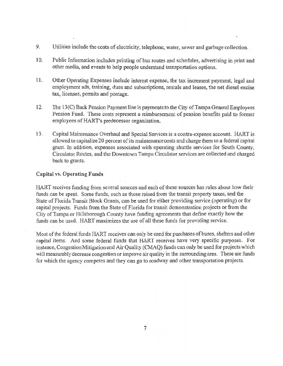- 9. Utilities include the costs of electricity, telephone, water, sewer and garbage collection.
- 10. Public Information includes printing of bus routes and schedules, advertising in print and other media, and events to help people understand transportation options.
- **11.** Other Operating Expenses include interest expense, the tax increment payment, legal and employment ads, training, dues and subscriptions, rentals and leases, the net diesel excise tax, licenses, permits and postage.
- 12. The 13(C) Back Pension Payment line is payments to the City of Tampa General Employees Pension Fund. These costs represent a reimbursement of pension benefits paid to former employees of HART's predecessor organization.
- 13. Capital Maintenance Overhaul and Special Services is a contra-expense account. HART is allowed to capitalize 20 percent of its maintenance costs and charge them to a federal capital grant. In addition, expenses associated with operating shuttle services for South County, Circulator Routes, and the Downtown Tampa Circulator services are collected and charged back to grants.

### **Capital** vs. **Operating Funds**

HART receives funding from several sources and each of these sources has rules about how their funds can be spent. Some funds, such as those raised from the transit property taxes, and the State of Florida Transit Block Grants, can be used for either providing service (operating) or for capital projects. Funds from the State of Florida for transit demonstration projects or from the City of Tampa or Hillsborough County have funding agreements that define exactly how the funds can be used. HART maximizes the use of all these funds for providing service.

Most of the federal funds HART receives can only be used for purchases of buses, shelters and other capital items. And some federal funds that HART receives have very specific purposes. For instance, Congestion Mitigation and Air Quality (CMAQ) funds can only be used for projects which will measurably decrease congestion or improve air quality in the surrounding area. These are funds for which the agency competes and they can go to roadway and other transportation projects.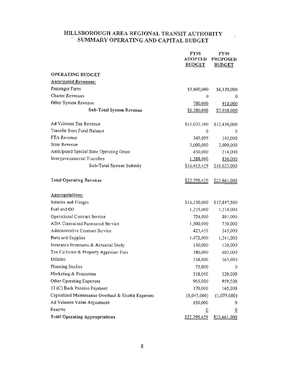## HILLSBOROUGH AREA REGIONAL TRANSIT AUTHORITY - SUMMARY OPERATING AND CAPITAL BUDGET

in.

|                                                     | <b>FY98</b><br><b>ADOPTED</b> | <b>FY99</b>                      |
|-----------------------------------------------------|-------------------------------|----------------------------------|
|                                                     | <b>BUDGET</b>                 | <b>PROPOSED</b><br><b>BUDGET</b> |
| <b>OPERATING BUDGET</b>                             |                               |                                  |
| <b>Anticipated Revenues:</b>                        |                               |                                  |
| Passenger Fares                                     | \$5,600,000                   | \$6,120,000                      |
| <b>Charter Revenues</b>                             | 0                             | 0                                |
| Other System Revenue                                | 780,000                       | 918,000                          |
| Sub-Total System Revenue                            | \$6,380,000                   | \$7,038,000                      |
|                                                     |                               |                                  |
| Ad Valorem Tax Revenue                              | \$11,032,360                  | \$12,430,000                     |
| Transfer from Fund Balance                          | 0                             | 0                                |
| FTA Revenue                                         | 345,099                       | 143,000                          |
| <b>State Revenue</b>                                | 3,000,000                     | 3,000,000                        |
| Anticipated Special State Operating Grant           | 450,000                       | 214,000                          |
| Intergovernmental Transfers                         | 1,588,000                     | 836,000                          |
| Sub-Total System Subsidy                            | \$16,415,459                  | \$16,623,000                     |
|                                                     |                               |                                  |
| <b>Total Operating Revenue</b>                      | <u>\$22.795,459</u>           | S <sub>23.661,000</sub>          |
|                                                     |                               |                                  |
| Appropriations:                                     |                               |                                  |
| Salaries and Fringes                                | \$16,150,000                  | \$17,847,500                     |
| Fuel and Oil                                        | 1,235,000                     | 1,210,000                        |
| Operational Contract Service                        | 724,000                       | 801,000                          |
| ADA Contracted Paratransit Service                  | 1,300,000                     | 750,000                          |
| Administrative Contract Service                     | 423,459                       | 545,000                          |
| Parts and Supplies                                  | 1,472,000                     | 1,241,000                        |
| Insurance Premiums & Actuarial Study                | 140,000                       | 130,000                          |
| Tax Collector & Property Appraiser Fees             | 380,000                       | 402,000                          |
| Utilities                                           | 338,000                       | 365,000                          |
| Planning Studies                                    | 75,000                        | 0                                |
| Marketing & Promotion                               | 318,000                       | 320,000                          |
| Other Operating Expenses                            | 965,000                       | 959,500                          |
| 13 (C) Back Pension Payment                         | 170,000                       | 165,000                          |
| Capitalized Maintenance Overhaul & Shuttle Expenses | (1,045,000)                   | (1,075,000)                      |
| Ad Valorem Value Adjustment                         | 150,000                       | 0                                |
| Reserve                                             | $\overline{0}$                | $\overline{0}$                   |
| <b>Total Operating Appropriations</b>               | \$22,795,459                  | \$23,661.000                     |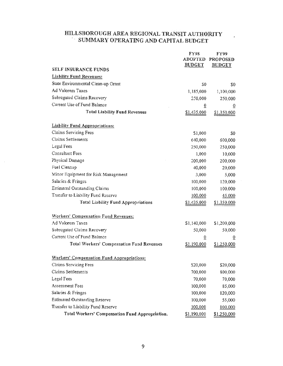## HILLSBOROUGH AREA REGIONAL TRANSIT AUTHORITY - SUMMARY OPERATING AND CAPITAL BUDGET

|                                                   | <b>FY98</b><br><b>ADOPTED</b> | <b>FY99</b><br><b>PROPOSED</b> |
|---------------------------------------------------|-------------------------------|--------------------------------|
|                                                   | <b>BUDGET</b>                 | <b>BUDGET</b>                  |
| SELF INSURANCE FUNDS                              |                               |                                |
| <b>Liability Fund Revenues:</b>                   |                               |                                |
| State Environmental Clean-up Grant                | \$0                           | \$0                            |
| Ad Valorem Taxes                                  | 1,185,000                     | 1,100,000                      |
| Subrogated Claims Recovery                        | 250,000                       | 250,000                        |
| Current Use of Fund Balance                       | $\overline{0}$                | $\overline{0}$                 |
| <b>Total Liability Fund Revenues</b>              | \$1,435,000                   | \$1,350,000                    |
| <b>Liability Fund Appropriations:</b>             |                               |                                |
| <b>Claims Servicing Fees</b>                      | \$1,000                       | \$0                            |
| <b>Claims Settlements</b>                         | 640,000                       | 600,000                        |
| Legal Fees                                        | 250,000                       | 250,000                        |
| <b>Consultant Fees</b>                            | 1,000                         | 10,000                         |
| Physical Damage                                   | 200,000                       | 200,000                        |
| Fuel Cleanup                                      | 40,000                        | 20,000                         |
| Minor Equipment for Risk Management               | 3,000                         | 5,000                          |
| Salaries & Fringes                                | 100,000                       | 120,000                        |
| <b>Estimated Outstanding Claims</b>               | 100,000                       | 100,000                        |
| Transfer to Liability Fund Reserve                | 100,000                       | 45.000                         |
| <b>Total Liability Fund Appropriations</b>        | \$1,435,000                   | \$1,350,000                    |
| <b>Workers' Compensation Fund Revenues:</b>       |                               |                                |
| Ad Valorem Taxes                                  | \$1,140,000                   | \$1,200,000                    |
| Subrogated Claims Recovery                        | 50,000                        | 50,000                         |
| Current Use of Fund Balance                       | $\overline{0}$                | ō                              |
| <b>Total Workers' Compensation Fund Revenues</b>  | \$1,190,000                   | \$1,250,000                    |
| <b>Workers' Compensation Fund Appropriations:</b> |                               |                                |
| Claims Servicing Fees                             | \$20,000                      | \$20,000                       |
| Claims Settlements                                | 700,000                       | 800,000                        |
| Legal Fees                                        | 70,000                        | 70,000                         |
| <b>Assessment Fees</b>                            | 100,000                       | 85,000                         |
| Salaries & Fringes                                | 100,000                       | 120,000                        |
| <b>Estimated Outstanding Reserve</b>              | 100,000                       | 55,000                         |
| Transfer to Liability Fund Reserve                | 100,000                       | 100,000                        |
| Total Workers' Compensation Fund Appropriation.   | \$1,190,000                   | \$1,250,000                    |

 $\mathcal{L}_{\mathcal{L}}$ 

 $\sim$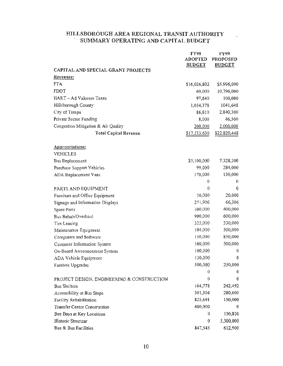## HILLSBOROUGH AREA REGIONAL TRANSIT AUTHORITY - SUMMARY OPERA TING AND CAPITAL BUDGET

 $\mathbb{R}^2$ 

|                                            | <b>FY98</b><br><b>ADOPTED</b><br><b>BUDGET</b> | FY99<br><b>PROPOSED</b><br><b>BUDGET</b> |
|--------------------------------------------|------------------------------------------------|------------------------------------------|
| CAPITAL AND SPECIAL GRANT PROJECTS         |                                                |                                          |
| Revenues:                                  |                                                |                                          |
| <b>FTA</b>                                 | \$16,026,802                                   | \$5,996,000                              |
| FDOT                                       | 60,000                                         | 10,796,000                               |
| HART - Ad Valorem Taxes                    | 97,640                                         | 100,000                                  |
| Hillsborough County                        | 1,054,378                                      | 1041,648                                 |
| City of Tampa                              | 86,810                                         | 2,840,300                                |
| Private Sector Funding                     | 8,000                                          | 46,500                                   |
| Congestion Mitigation & Air Quality        | 200,000                                        | 2,000,000                                |
| <b>Total Capital Revenue</b>               | \$17,533,630                                   | \$22.820,448                             |
| Appropriations:                            |                                                |                                          |
| <b>VEHICLES</b>                            |                                                |                                          |
| Bus Replacement                            | \$5,100,000<br>99,000                          | 7,328,300<br>284,000                     |
| Purchase Support Vehicles                  | 170,000                                        | 150,000                                  |
| ADA Replacement Vans                       | 0                                              | 0                                        |
| PARTS AND EQUIPMENT                        | 0                                              | $\bf{0}$                                 |
| Furniture and Office Equipment             | 30,000                                         | 20,000                                   |
| Signage and Information Displays           | 271,906                                        | 66,306                                   |
| Spare Parts                                | 300,000                                        | 400,000                                  |
| Bus Rehab/Overhaul                         | 900,000                                        | 600,000                                  |
| Tire Leasing                               | 325,000                                        | 330,000                                  |
| Maintenance Equipment                      | 104,000                                        | 500,000                                  |
| Computers and Software                     | 150,000                                        | 850,000                                  |
| Customer Information System                | 160,000                                        | 500,000                                  |
| On-Board Announcement System               | 100,000                                        | $\theta$                                 |
| ADA Vehicle Equipment                      | 130,000                                        | 0                                        |
| Farebox Upgrades                           | 500,000                                        | 250,000                                  |
|                                            | 0                                              | Ð                                        |
| PROJECT DESIGN, ENGINEERING & CONSTRUCTION | 0                                              | 0                                        |
| <b>Bus Shelters</b>                        | 164,778                                        | 242,492                                  |
| Accessibility at Bus Stops                 | 301,504                                        | 280,600                                  |
| Facility Rehabilitation                    | 825,691                                        | 150,000                                  |
| <b>Transfer Center Construction</b>        | 400,000                                        | 0                                        |
| Bus Bays at Key Locations                  | 0                                              | 130,850                                  |
| Historic Streetcar                         | 0                                              | 5,300,000                                |
| Bus & Bus Facilities                       | 847,545                                        | 612,900                                  |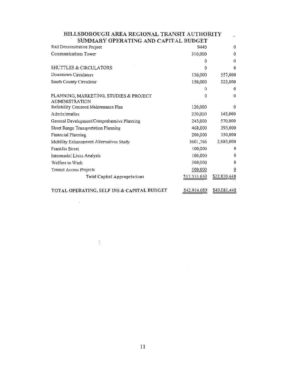| HILLSBOROUGH AREA REGIONAL TRANSIT AUTHORITY                    |              |              |  |
|-----------------------------------------------------------------|--------------|--------------|--|
| SUMMARY OPERATING AND CAPITAL BUDGET                            |              |              |  |
| Rail Demonstration Project                                      | 9440         | $\Omega$     |  |
| Communications Tower                                            | 310,000      | $\Omega$     |  |
|                                                                 | $\Omega$     | $\Omega$     |  |
| SHUTTLES & CIRCULATORS                                          | 0            | $\Omega$     |  |
| Downtown Circulators                                            | 130,000      | 557,000      |  |
| South County Circulator                                         | 150,000      | 323,000      |  |
|                                                                 | $^{(1)}$     | $\Omega$     |  |
| PLANNING, MARKETING, STUDIES & PROJECT<br><b>ADMINISTRATION</b> | 0            | $\Omega$     |  |
| Reliability Centered Maintenance Plan                           | 120,000      | $\Omega$     |  |
| Administration                                                  | 220,000      | 145,000      |  |
| General Development/Comprehensive Planning                      | 245,000      | 570,000      |  |
| Short Range Transportation Planning                             | 468,000      | 395,000      |  |
| Financial Planning                                              | 200,000      | 150,000      |  |
| Mobility Enhancement Alternatives Study                         | 3601,766     | 2,685,000    |  |
| Franklin Street                                                 | 100,000      | $\Omega$     |  |
| Intermodal Links Analysis                                       | 100,000      | $\Omega$     |  |
| Welfare to Work                                                 | 500,000      | 0            |  |
| Transit Access Projects                                         | 500,000      | $\bf{0}$     |  |
| <b>Total Capital Appropriations</b>                             | \$17.533.630 | \$22,820.448 |  |
|                                                                 |              |              |  |

TOTAL OPERATING, SELF INS & CAPITAL BUDGET 542.954.089 549.081.448

 $\mathcal{L}=\{L_{\text{max}}\}$ 

 $\mathcal{L}^{\text{max}}_{\text{max}}$  and  $\mathcal{L}^{\text{max}}_{\text{max}}$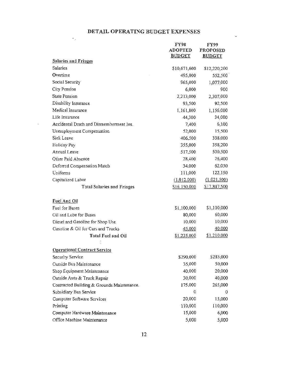## DETAIL OPERATING BUDGET EXPENSES

 $\sigma_{\rm{eff}}$ 

 $\mathcal{L}^{\text{max}}_{\text{max}}$ 

 $\mathcal{L}^{\text{max}}$ 

|                                            | <b>FY98</b>                     | <b>FY99</b>                      |
|--------------------------------------------|---------------------------------|----------------------------------|
|                                            | <b>ADOPTED</b><br><b>BUDGET</b> | <b>PROPOSED</b><br><b>BUDGET</b> |
| <b>Salaries and Fringes</b>                |                                 |                                  |
| Salaries                                   | \$10,671,600                    | \$12,220,200                     |
| Overtime                                   | 495,000                         | 552,500                          |
| Social Security                            | 965,000                         | 1,077,000                        |
| City Pension                               | 6,000                           | 900                              |
| <b>State Pension</b>                       | 2,213,000                       | 2,307,000                        |
| Disability Insurance                       | 93,500                          | 92,500                           |
| Medical Insurance                          | 1,161,800                       | 1,156,000                        |
| Life Insurance                             | 44,300                          | 34,000                           |
| Accidental Death and Dismemberment Ins.    | 7,400                           | 6,100                            |
| Unemployment Compensation                  | 52,000                          | 15,500                           |
| <b>Sick Leave</b>                          | 406,500                         | 338,000                          |
| Holiday Pay                                | 355,000                         | 358,200                          |
| Annual Leave                               | 517,500                         | 500,500                          |
| Other Paid Absence                         | 28,400                          | 26,400                           |
| Deferred Compensation Match                | 34,000                          | 62,050                           |
| Uniforms                                   | 111,000                         | 122,150                          |
| Capitalized Labor                          | (1.012,000)                     | (1.021, 500)                     |
| <b>Total Salaries and Fringes</b>          | S16.150,000                     | \$17,847,500                     |
|                                            |                                 |                                  |
| Fuel And Oil                               |                                 |                                  |
| Fuel for Buses                             | \$1,100,000                     | \$1,100,000                      |
| Oil and Lube for Buses                     | 80,000                          | 60,000                           |
| Diesel and Gasoline for Shop Use           | 10,000                          | 10,000                           |
| Gasoline & Oil for Cars and Trucks         | 45.000                          | 40.000                           |
| <b>Total Fuel and Oil</b>                  | \$1,235,000                     | \$1,210,000                      |
| <b>Operational Contract Service</b>        |                                 |                                  |
| Security Service                           | \$290,000                       | \$285,000                        |
| Outside Bus Maintenance                    | 35,000                          | 50,000                           |
| Shop Equipment Maintenance                 | 40,000                          | 20,000                           |
| Outside Auto & Truck Repair                | 30,000                          | 40,000                           |
| Contracted Building & Grounds Maintenance. | 175,000                         | 265,000                          |
| Subsidiary Bus Service                     | 0                               | 0                                |
| Computer Software Services                 | 20,000                          | 15,000                           |
| Printing                                   | 110,000                         | 110,000                          |
| Computer Hardware Maintenance              | 15,000                          | 6,000                            |
| Office Machine Maintenance                 | 5,000                           | 5,000                            |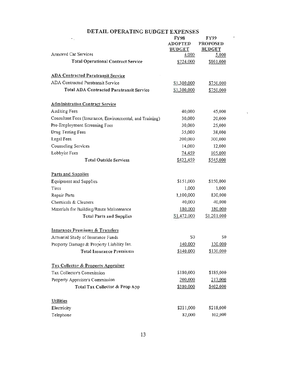| ۰.                                                       | <b>FY98</b>    | FY99            |
|----------------------------------------------------------|----------------|-----------------|
|                                                          | <b>ADOPTED</b> | <b>PROPOSED</b> |
|                                                          | <b>BUDGET</b>  | <b>BUDGET</b>   |
| <b>Armored Car Services</b>                              | 4,000          | 5,000           |
| <b>Total Operational Contract Service</b>                | \$724,000      | \$801,000       |
| <b>ADA Contracted Paratransit Service</b>                |                |                 |
| ADA Contracted Paratransit Service                       | \$1,300,000    | \$750,000       |
| <b>Total ADA Contracted Paratransit Service</b>          | \$1,300,000    | \$750,000       |
| <b>Administrative Contract Service</b>                   |                |                 |
| <b>Auditing Fees</b>                                     | 40,000         | 45,000          |
| Consultant Fees (Insurance, Environmental, and Training) | 30,000         | 20,000          |
| Pre-Employment Screening Fees                            | 30,000         | 25,000          |
| Drug Testing Fees                                        | 35,000         | 38,000          |
| Legal Fees                                               | 200,000        | 300,000         |
| Counseling Services                                      | 14,000         | 12,000          |
| Lobbyist Fees                                            | 74,459         | 105,000         |
| <b>Total Outside Services</b>                            | \$423,459      | \$545,000       |
| Parts and Supplies                                       |                |                 |
| Equipment and Supplies                                   | \$151,000      | \$150,000       |
| Tires                                                    | 1,000          | 1,000           |
| Repair Parts                                             | 1,100,000      | 830,000         |
| Chemicals & Cleaners                                     | 40,000         | 40,000          |
| Materials for Building/Route Maintenance                 | 180,000        | 180.000         |
| <b>Total Parts and Supplies</b>                          | \$1,472,000    | S1,201.000      |
| <b>Insurance Premiums &amp; Transfers</b>                |                |                 |
| Actuarial Study of Insurance Funds                       | 50             | \$0             |
| Property Damage & Property Liability Ins.                | 140,000        | 130,000         |
| <b>Total Insurance Premiums</b>                          | \$140,000      | \$130,000       |
| Tax Collector & Property Appraiser                       |                |                 |
| Tax Collector's Commission                               | \$180,000      | \$185,000       |
| Property Appraiser's Commission                          | 200,000        | 217.000         |
| Total Tax Collector & Prop App                           | \$380,000      | \$402.000       |
| <b>Utilities</b>                                         |                |                 |
| Electricity                                              | \$211,000      | \$218,000       |
| Telephone                                                | 82,000         | 102,000         |

## DETAIL OPERATING BUDGET EXPENSES

 $\mathcal{L}$ 

 $\sim 3\%$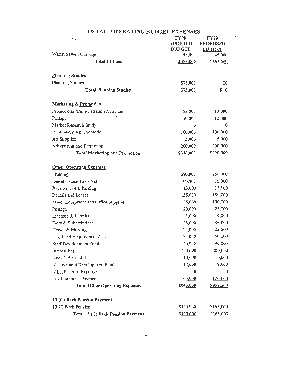| ٠.                                    | <b>FY98</b>    | <b>FY99</b>                |
|---------------------------------------|----------------|----------------------------|
|                                       | <b>ADOPTED</b> | <b>PROPOSED</b>            |
|                                       | <b>BUDGET</b>  | <b>BUDGET</b>              |
| Water, Sewer, Garbage                 | 45,000         | 45,000                     |
| <b>Total Utilities</b>                | \$338.000      | \$365,000                  |
| <b>Planning Studies</b>               |                |                            |
| Planning Studies                      | \$75,000       | $\underline{\mathbb{S}^0}$ |
| <b>Total Planning Studies</b>         | \$75,000       | $S_0$                      |
| <b>Marketing &amp; Promotion</b>      |                |                            |
| Promotional/Demonstration Activities  | \$3,000        | \$3,000                    |
| Postage                               | 10,000         | 12,000                     |
| Market Research Study                 | $\theta$       | 0                          |
| Printing-System Promotion             | 100,000        | 100,000                    |
| Art Supplies                          | 5,000          | 5,000                      |
| Advertising and Promotion             | 200,000        | 200,000                    |
| <b>Total Marketing and Promotion</b>  | \$318,000      | \$320,000                  |
| <b>Other Operating Expenses</b>       |                |                            |
| Training                              | \$80,000       | \$80,000                   |
| Diesel Excise Tax - Net               | 100,000        | 75,000                     |
| X-Town Tolls, Parking                 | 13,000         | 15,000                     |
| Rentals and Leases                    | 155,000        | 180,000                    |
| Minor Equipment and Office Supplies   | 85,000         | 100,000                    |
| Postage                               | 20,000         | 25,000                     |
| Licenses & Permits                    | 5,000          | 4,000                      |
| Dues & Subscriptions                  | 35,000         | 36,000                     |
| Travel & Meetings                     | 25,000         | 22,500                     |
| Legal and Employment Ads              | 35,000         | 50,000                     |
| Staff Development Fund .              | 40,000         | 30,000                     |
| Interest Expense                      | 250,000        | 200,000                    |
| Non-FTA Capital                       | 10,000         | 10,000                     |
| Management Development Fund           | 12,000         | 12,000                     |
| Miscellaneous Expense                 | $\bf{0}$       | 0                          |
| Tax Increment Payment                 | 100,000        | 120.000                    |
| <b>Total Other Operating Expenses</b> | \$965,000      | \$959,500                  |
| 13 (C) Back Pension Payment           |                |                            |
| 13(C) Back Pension                    | \$170,000      | \$165,000                  |
| Total 13 (C) Back Pension Payment     | \$170,000      | \$165,000                  |

## DETAIL OPERATING BUDGET EXPENSES

L.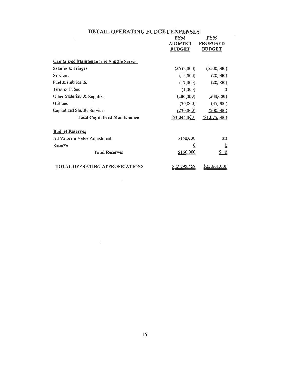### DETAIL OPERA TING BUDGET EXPENSES

| $\sim$ .                                  | <b>FY98</b><br><b>ADOPTED</b><br><b>BUDGET</b> | FY99<br><b>PROPOSED</b><br><b>BUDGET</b> |
|-------------------------------------------|------------------------------------------------|------------------------------------------|
| Capitalized Maintenance & Shuttle Service |                                                |                                          |
| Salaries & Fringes                        | $($ \$552,000 $)$                              | $($ \$500,000)                           |
| <b>Services</b>                           | (15,000)                                       | (20,000)                                 |
| Fuel & Lubricants                         | (17,000)                                       | (20,000)                                 |
| Tires & Tubes                             | (1,000)                                        | 0                                        |
| Other Materials & Supplies                | (200,000)                                      | (200,000)                                |
| Utilities                                 | (30,000)                                       | (35,000)                                 |
| Capitalized Shuttle Services              | (230,000)                                      | (300,000)                                |
| <b>Total Capitalized Maintenance</b>      | \$1,045,000                                    | (\$1,075,000)                            |
| <b>Budget Reserves</b>                    |                                                |                                          |
| Ad Valorem Value Adjustment               | \$150,000                                      | S0                                       |
| Reserve                                   | 0                                              | $\overline{0}$                           |
| <b>Total Reserves</b>                     | \$150,000                                      | S.<br>$\overline{0}$                     |
| <b>TOTAL OPERATING APPROPRIATIONS</b>     | S <sub>22</sub> , 795, 459                     | \$23,661,000                             |

 $\sim 300$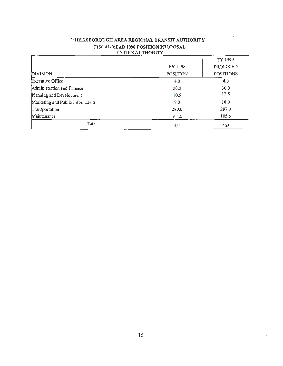| EN HAL AU I TUNI I               |          |                  |
|----------------------------------|----------|------------------|
|                                  |          | FY 1999          |
|                                  | FY 1998  | <b>PROPOSED</b>  |
| <b>DIVISION</b>                  | POSITION | <b>POSITIONS</b> |
| Executive Office                 | 4.0      | 4.0              |
| Administration and Finance       | 30.0     | 30.0             |
| Planning and Development         | 10.5     | 12.5             |
| Marketing and Public Information | 9.0      | 10.0             |
| Transportation                   | 290.0    | 297.0            |
| Maintenance                      | 104.5    | 105.5            |
| Total                            | 451      | 462              |

### - ·HILLSBOROUGH AREA REGIONAL TRANSIT AUTHORITY FISCAL YEAR 1998 POSITION PROPOSAL ENTIRE AUTHORITY

 $\langle \cdot \rangle$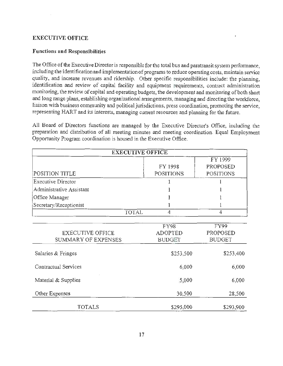## EXECUTIVE OFFICE

## Functions and Responsibilities

The Office of the Executive Director is responsible for the total bus and paratransit system performance, including the identification and implementation of programs to reduce operating costs, maintain service quality, and increase revenues and ridership. Other specific responsibilities include: the planning, identification and review of capital facility and equipment requirements, contract administration monitoring, the review of capital and operating budgets, the development and monitoring of both short and long range plans, establishing organizational arrangements, managing and directing the workforce, liaison with business community and political jurisdictions, press coordination, promoting the service, representing HART and its interests, managing current resources and planning for the future.

All Board of Directors functions are managed by the Executive Director's Office, including the preparation and distribution of all meeting minutes and meeting coordination. Equal Employment Opportunity Program coordination is housed in the Executive Office.

| <b>EXECUTIVE OFFICE</b>  |                  |                  |  |
|--------------------------|------------------|------------------|--|
|                          |                  | FY 1999          |  |
|                          | FY 1998          | PROPOSED         |  |
| POSITION TITLE           | <b>POSITIONS</b> | <b>POSITIONS</b> |  |
| Executive Director       |                  |                  |  |
| Administrative Assistant |                  |                  |  |
| Office Manager           |                  |                  |  |
| Secretary/Receptionist   |                  |                  |  |
| <b>TOTAL</b>             | 4                | 4                |  |
|                          |                  |                  |  |
|                          | FY98             | FY99             |  |
| <b>EXECUTIVE OFFICE</b>  | <b>ADOPTED</b>   | <b>PROPOSED</b>  |  |
| SUMMARY OF EXPENSES      | <b>BUDGET</b>    | <b>BUDGET</b>    |  |
| Salaries & Fringes       | \$253,500        | \$253,400        |  |
| Contractual Services     | 6,000            | 6,000            |  |
| Material & Supplies      | 5,000            | 6,000            |  |
| Other Expenses           | 30,500           | 28,500           |  |
| <b>TOTALS</b>            | \$295,000        | \$293,900        |  |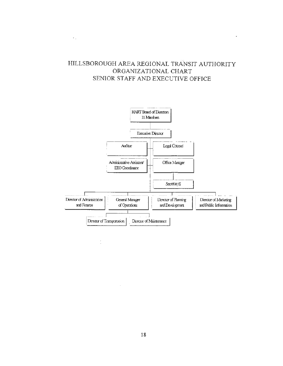## HILLSBOROUGH AREA REGIONAL TRANSIT AUTHORITY ORGANIZATIONAL CHART SENIOR STAFF AND EXECUTIVE OFFICE

 $\epsilon_{\rm in}$ 

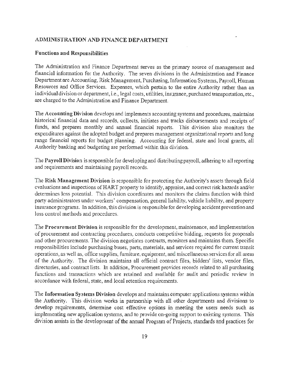## ADMINISTRATION AND FINANCE DEPARTMENT

## Functions and Responsibilities

The Administration and Finance Department serves as the primary source of management and financial information for the Authority. The seven divisions in the Administration and Finance Department are Accounting, Risk Management, Purchasing, Information Systems, Payroll, Human Resources and Office Services. Expenses, which pertain to the entire Authority rather than an individual division or department, i.e., legal costs, utilities, insurance, purchased transportation, etc., are charged to the Administration and Finance Department.

The Accounting Division develops and implements accounting systems and procedures, maintains historical financial data and records, collects, initiates and tracks disbursements and receipts of funds, and prepares monthly and annual financial reports. This division also monitors the expenditures against the adopted budget and prepares management organizational reports and long range financial reports for budget planning. Accounting for federal, state and local grants, all Authority banking and budgeting are performed within this division.

The Payroll Division is responsible for developing and distributing payroll, adhering to all reporting and requirements and maintaining payroll records.

The Risk Management Division is responsible for protecting the Authority's assets through field evaluations and inspections of HART property to identify, appraise, and correct risk hazards and/or determines loss potential. This division coordinates and monitors the claims function with third party administrators under workers' compensation, general liability, vehicle liability, and property insurance programs. In addition, this division is responsible for developing accident prevention and loss control methods and procedures.

The Procurement Division is responsible for the development, maintenance, and implementation of procurement and contracting procedures, conducts competitive bidding, requests for proposals and other procurements. The division negotiates contracts, monitors and maintains them. Specific responsibilities include purchasing buses, parts, materials, and services required for current transit operations, as well as, office supplies, furniture, equipment, and miscellaneous services for all areas of the Authority. The division maintains all official contract files, bidders' lists, vendor files, directories, and contract lists. In addition, Procurement provides records related to all purchasing functions and transactions which are retained and available for audit and periodic review in accordance with federal, state, and local retention requirements.

The Information Systems Division develops and maintains computer applications systems within the Authority. This division works in partnership with all other departments and divisions to develop requirements, determine cost effective options in meeting the users needs such as implementing new application systems, and to provide on-going support to existing systems. This division assists in the development of the annual Program of Projects, standards and practices for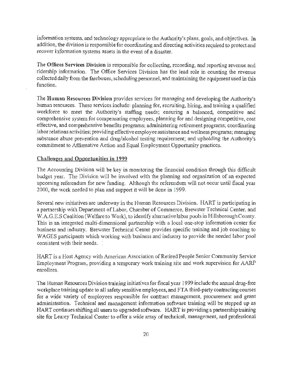information systems, and technology appropriate to the Authority's plans, goals, and objectives. In addition, the division is responsible for coordinating and directing activities required to protect and recover information systems assets in the event of a disaster.

The Offices Services Division is responsible for collecting, recording, and reporting revenue and ridership information. The Office Services Division has the lead role in counting the revenue collected daily from the fareboxes, scheduling personnel, and maintaining the equipment used in this function.

The Human Resources Division provides services for managing and developing the Authority's human resources. These services include: planning for, recruiting, hiring, and training a qualified workforce to meet the Authority's staffing needs; ensuring a balanced, competitive and comprehensive system for compensating employees, planning for and designing competitive, cost effective, and comprehensive benefits programs; administering retirement programs; coordinating labor relations activities; providing effective employee assistance and wellness programs; managing substance abuse prevention and drug/alcohol testing requirement; and upholding the Authority's commitment to Affirmative Action and Equal Employment Opportunity practices.

### Challenges and Opportunities in 1999

The Accounting Division will be key in monitoring the financial condition through this difficult budget year. The Division will be involved with the planning and organization of an expected upcoming referendum for new funding. Although the referendum will not occur until fiscal year 2000, the work needed to plan and support it will be done in 1999.

Several new initiatives are underway in the Human Resources Division. HART is participating in a partnership with Department of Labor, Chamber of Commerce, Brewster Technical Center, and W.A.G.E.S Coalition (Welfare to Work), to identify alternative labor pools in Hillsborough County. This is an integrated multi-dimensional partnership with a local one-stop information center for business and industry. Brewster Technical Center provides specific training and job coaching to WAGES participants which working with business and industry to provide the needed labor pool consistent with their needs. :

HART is a Host Agency with American Association of Retired People Senior Community Service Employment Program, providing a temporary work training site and work supervision for AARP enrollees.

The Human Resources Division training initiatives for fiscal year 1999 include the annual drug-free workplace training update to all safety sensitive employees, and FTA third-party contracting courses for a wide variety of employees responsible for contract management, procurement and grant administration. Technical and management information software training will be stepped up as HART continues shifting all users to upgraded software. HART is providing a partnership training site for Learey Technical Center to offer a wide array of technical, management, and professional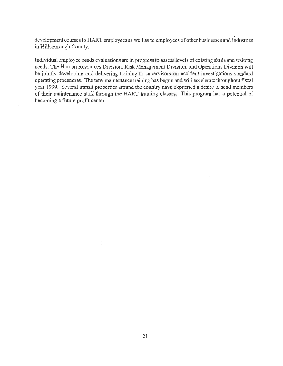development courses to HART employees as well as to employees of other businesses and industries in Hillsborough County.

Individual employee needs evaluations are in progress to assess levels of existing skills and training needs. The Human Resources Division, Risk Management Division, and Operations Division will be jointly developing and delivering training to supervisors on accident investigations standard operating procedures. The new maintenance training has begun and will accelerate throughout fiscal year 1999. Several transit properties around the country have expressed a desire to send members of their maintenance staff through the HART training classes. This program has a potential of becoming a future profit center.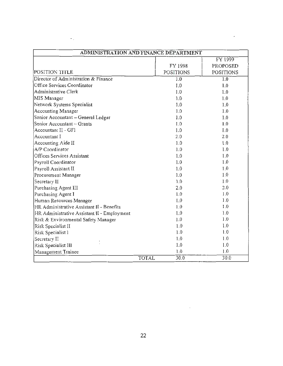| ADMINISTRATION AND FINANCE DEPARTMENT       |                  |                  |
|---------------------------------------------|------------------|------------------|
|                                             |                  | FY 1999          |
|                                             | FY 1998          | PROPOSED         |
| POSITION TITLE                              | <b>POSITIONS</b> | <b>POSITIONS</b> |
| Director of Administration & Finance        | $\overline{1.0}$ | 1.0              |
| Office Services Coordinator                 | 1.0              | 1.0              |
| Administrative Clerk                        | 1.0              | 1.0              |
| MIS Manager                                 | 1.0              | 1,0              |
| Network Systems Specialist                  | 1.0              | 1.0              |
| Accounting Manager                          | 1.0              | 1.0              |
| Senior Accountant - General Ledger          | 1.0              | 1.0              |
| Senior Accountant - Grants                  | 0.1              | 1.0              |
| Accountant II - GFI                         | 1.0              | 1.0              |
| Accountant I                                | 2.0              | 2.0              |
| Accounting Aide II                          | 1.0              | 1.0              |
| A/P Coordinator                             | 1.0              | 1.0              |
| Offices Services Assistant                  | 1.0              | 1.0              |
| Payroll Coordinator                         | 1.0              | 1.0              |
| Payroll Assistant II                        | 1.0              | 1.0              |
| Procurement Manager                         | 1.0              | 1.0              |
| Secretary II                                | 1.0              | 1.0              |
| Purchasing Agent III                        | 2.0              | 2.0              |
| Purchasing Agent I                          | 0.1              | 1.0              |
| Human Resources Manager                     | 0.1              | 1.0              |
| HR Administrative Assistant II - Benefits   | 1.0              | 1.0              |
| HR Administrative Assistant II - Employment | 1.0              | 1.0              |
| Risk & Environmental Safety Manager         | 1.0              | 1.0              |
| Risk Specialist II                          | 1.0              | 1.0              |
| Risk Specialist I                           | 1.0              | 1.0              |
| Secretary II                                | 1.0              | 1.0              |
| Risk Specialist III                         | 1.0              | 1.0              |
| Management Trainee                          | 1.0              | 1.0              |
| <b>TOTAL</b>                                | 30.0             | 30.0             |

 $\epsilon_{\rm in}$ 

ł,

 $\bar{z}$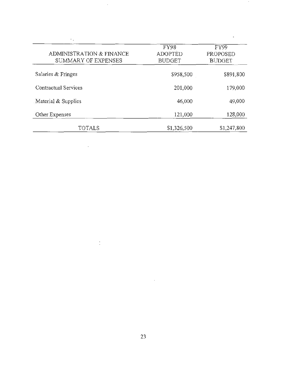| <b>ADMINISTRATION &amp; FINANCE</b><br>SUMMARY OF EXPENSES | FY98<br><b>ADOPTED</b><br><b>BUDGET</b> | FY99<br>PROPOSED<br><b>BUDGET</b> |
|------------------------------------------------------------|-----------------------------------------|-----------------------------------|
| Salaries & Fringes                                         | \$958,500                               | \$891,800                         |
| Contractual Services                                       | 201,000                                 | 179,000                           |
| Material & Supplies                                        | 46,000                                  | 49,000                            |
| Other Expenses                                             | 121,000                                 | 128,000                           |
| TOTALS                                                     | \$1,326,500                             | \$1,247,800                       |

l,

 $\bar{z}$ 

 $\mathbb{Z}_2$ 

 $\overline{\phantom{a}}$ 

 $\frac{1}{2}$ 

 $\bar{z}$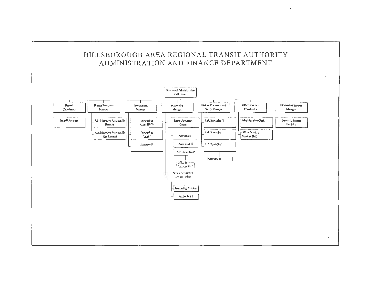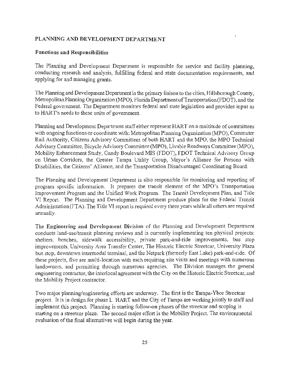## PLANNING AND DEVELOPMENT DEPARTMENT

## Functions and Responsibilities

The Planning and Development Department is responsible for service and facility planning, conducting research and analysis, fulfilling federal and state documentation requirements, and applying for and managing grants.

The Planning and Development Department is the primary liaison to the cities, Hillsborough County, Metropolitan Planning Organization (MPO), Florida Department of Transportation (FDOT), and the Federal government. The Department monitors federal and state legislation and provides input as to HART's needs to these units of government.

Planning and Development Department staff either represent HART on a multitude of committees with ongoing functions or coordinate with: Metropolitan Planning Organization (MPO), Commuter Rail Authority, Citizens Advisory Committees of both HART and the MPO, the MPO Technical Advisory Committee, Bicycle Advisory Committee (MPO), Livable Roadways Committee (MPO), Mobility Enhancement Study, Gandy Boulevard MIS (FDOT), FDOT Technical Advisory Group on Urban Corridors, the Greater Tampa Utility Group, Mayor's Alliance for Persons with Disabilities, the Citizens' Alliance, and the Transportation Disadvantaged Coordinating Board.

The Planning and Development Department is also responsible for monitoring and reporting of program specific information. It prepares the transit element of the MPO's Transportation Improvement Program and the Unified Work Program. The Transit Development Plan, and Title VI Report. The Planning and Development Department produce plans for the Federal Transit Administration (FTA). The Title VI report is required every three years while all others are required annually.

The Engineering and Development Division of the Planning and Development Department conducts land-use/transit planning reviews and is currently implementing ten physical projects: shelters, benches, sidewalk accessibility, private park-and-ride improvements, bus stop improvements, University Area Transfer Center, The Historic Electric Streetcar, University Plaza bus stop, downtown intermodal terminal, and the Netpark (formerly East Lake) park-and-ride. Of these projects, five are multi-location with each requiring site visits and meetings with numerous landowners, and permitting through numerous agencies. The Division manages the general engineering contractor, the interlocal agreement with the City on the Historic Electric Streetcar, and the Mobility Project contractor.

Two major planning/engineering efforts are underway. The first is the Tampa-Ybor Streetcar project. It is in design for phase I. HART and the City of Tampa are working jointly to staff and implement this project. Planning is starting follow-on phases of the streetcar and scoping is starting on a streetcar plaza. The second major effort is the Mobility Project. The environmental evaluation of the final alternatives will begin during the year.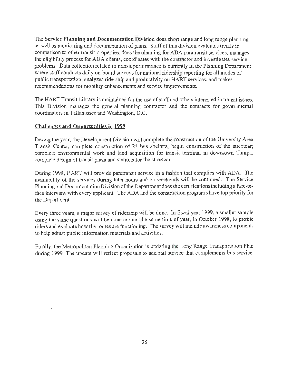The Service Planning and Documentation Division does short range and long range planning as well as monitoring and documentation of plans. Staff of this division evaluates trends in comparison to other transit properties, does the planning for ADA paratransit services, manages the eligibility process for ADA clients, coordinates with the contractor and investigates service problems. Data collection related to transit performance is currently in the Planning Department where staff conducts daily on-board surveys for national ridership reporting for all modes of public transportation; analyzes ridership and productivity on HART services, and makes recommendations for mobility enhancements and service improvements.

The HART Transit Library is maintained for the use of staff and others interested in transit issues. This Division manages the general planning contractor and the contracts for governmental coordinators in Tallahassee and Washington, D.C.

## Challenges and Opportunities in 1999

During the year, the Development Division will complete the construction of the University Area Transit Center, complete construction of 24 bus shelters, begin construction of the streetcar; complete environmental work and land acquisition for transit terminal in downtown Tampa, complete design of transit plaza and stations for the streetcar.

During 1999, HART will provide paratransit service in a fashion that complies with ADA. The availability of the services during later hours and on weekends will be continued. The Service Planning and Documentation Division of the Department does the certifications including a face-toface interview with every applicant. The ADA and the construction programs have top priority for the Department.

Every three years, a major survey of ridership will be done. In fiscal year 1999, a smaller sample using the same questions will be done around the same time of year, in October 1998, to profile riders and evaluate how the routes are functioning. The survey will include awareness components to help adjust public information materials and activities.

Finally, the Metropolitan Planning Organization is updating the Long Range Transportation Plan during 1999. The update will reflect proposals to add rail service that complements bus service.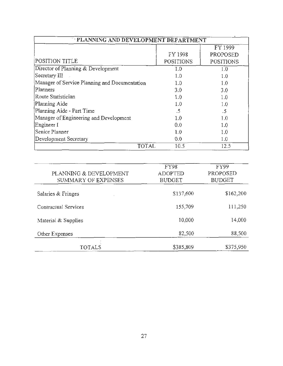| PLANNING AND DEVELOPMENT DEPARTMENT           |           |                  |
|-----------------------------------------------|-----------|------------------|
|                                               |           | FY 1999          |
|                                               | FY 1998   | PROPOSED         |
| POSITION TITLE                                | POSITIONS | <b>POSITIONS</b> |
| Director of Planning & Development            | 1.0       | 1.0              |
| Secretary III                                 | 1.0       | 1.0              |
| Manager of Service Planning and Documentation | 1.0       | 1.0              |
| Planners                                      | 3.0       | 3.0              |
| Route Statistician                            | 1.0       | 1.0              |
| Planning Aide                                 | 1.0       | 1.0              |
| Planning Aide - Part Time                     | .5        | .5               |
| Manager of Engineering and Development        | 1.0       | 1.0              |
| Engineer I                                    | 0.0       | 1.0              |
| Senior Planner                                | 1.0       | 1.0              |
| Development Secretary                         | 0.0       | 1.0              |
| <b>TOTAL</b>                                  | 10.5      | 12.5             |

| PLANNING & DEVELOPMENT<br>SUMMARY OF EXPENSES | <b>FY98</b><br><b>ADOPTED</b><br><b>BUDGET</b> | <b>FY99</b><br>PROPOSED<br><b>BUDGET</b> |
|-----------------------------------------------|------------------------------------------------|------------------------------------------|
| Salaries & Fringes                            | \$137,600                                      | \$162,200                                |
| Contractual Services                          | 155,709                                        | 111,250                                  |
| Material & Supplies                           | 10,000                                         | 14,000                                   |
| Other Expenses                                | 82,500                                         | 88,500                                   |
| TOTALS                                        | \$385,809                                      | \$375,950                                |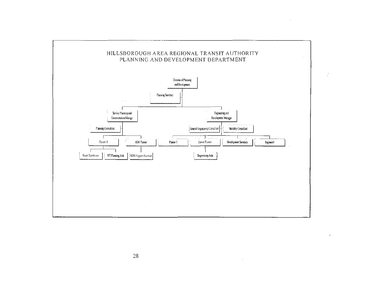

 $\sim$ 

 $\sim$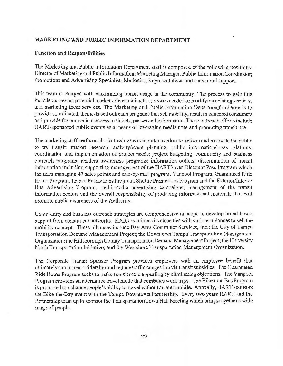### MARKETING AND PUBLIC INFORMATION DEPARTMENT

### Function and Responsibilities

The Marketing and Public Information Department staff is composed of the following positions: Director of Marketing and Public Information; Marketing Manager; Public Information Coordinator; Promotions and Advertising Specialist; Marketing Representatives and secretarial support.

This team is charged with maximizing transit usage in the community. The process to gain this includes assessing potential markets, determining the services needed or modifying existing services, and marketing these services. The Marketing and Public Information Department's charge is to provide coordinated, theme-based outreach programs that sell mobility, result in educated consumers and provide for convenient access to tickets, passes and information. These outreach efforts include HART-sponsored public events as a means of leveraging media time and promoting transit use.

The marketing staff performs the following tasks in order to educate, inform and motivate the public to try transit: market research; activity/event planning; public information/press relations; coordination and implementation of project needs; project budgeting; community and business outreach programs; resident awareness programs; information outlets; dissemination of transit information including supporting management of the HARTSaver Discount Pass Program which includes managing 47 sales points and sale-by-mail program, Vanpool Program, Guaranteed Ride Home Program, Transit Promotions Program, Shuttle Promotions Program and the Exterior/Interior Bus Advertising Program; multi-media advertising campaigns; management of the transit information centers and the overall responsibility of producing informational materials that will promote public awareness of the Authority.

Community and business outreach strategies are comprehensive in scope to develop broad-based support from constituent networks. HART continues its close ties with various alliances to sell the mobility concept. These alliances include Bay Area Commuter Services, Inc.; the City of Tampa Transportation Demand Management Project; the Downtown Tampa Transportation Management Organization; the Hillsborough County Transportation Demand Management Project; the University North Transportation Initiative; and the Westshore Transportation Management Organization.

The Corporate Transit Sponsor Program provides employers with an employee benefit that ultimately can increase ridership and reduce traffic congestion via transit subsidies. The Guaranteed Ride Home Program seeks to make transit more appealing by eliminating objections. The Vanpool Program provides an alternative travel mode that combines work trips. The Bikes-on-Bus Program is promoted to enhance people's ability to travel without an automobile. Annually, HART sponsors the Bike-the-Bay event with the Tampa Downtown Partnership. Every two years HART and the Partnership team up to sponsor the Transportation Town Hall Meeting which brings together a wide range of people.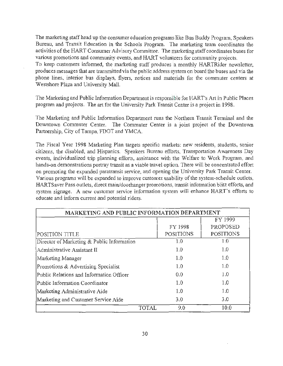The marketing staff head up the consumer education programs like Bus Buddy Program, Speakers Bureau, and Transit Education in the Schools Program. The marketing team coordinates the activities of the HART Consumer Advisory Committee. The marketing staff coordinates buses for various promotions and community events, and HART volunteers for community projects. To keep customers informed, the marketing staff produces a monthly HARTRider newsletter, produces messages that are transmitted via the public address system on board the buses and· via the phone lines, interior bus displays, flyers, notices and materials for the commuter centers at Westshore Plaza and University Mall.

The Marketing and Public Information Department is responsible for HART's Art in Public Places program and projects. The art for the University Park Transit Center is a project in 1998.

The Marketing and Public Information Department runs the Northern Transit Terminal and the Downtown Commuter Center. The Commuter Center is a joint project of the Downtown Partnership, City of Tampa, FDOT and YMCA.

The Fiscal Year 1998 Marketing Plan targets specific markets: new residents, students, senior citizens, the disabled, and Hispanics. Speakers Bureau efforts, Transportation Awareness Day events, individualized trip planning efforts, assistance with the Welfare to Work Program, and hands-on demonstrations portray transit as a viable travel option. There will be concentrated effort on promoting the expanded paratransit service, and opening the University Park Transit Center. Various programs will be expanded to improve customer usability of the system-schedule outlets, HARTSaver Pass outlets, direct main/doorhanger promotions, transit information blitz efforts, and system signage. A new customer service information system will enhance HART's efforts to educate and inform current and potential riders.

| MARKETING AND PUBLIC INFORMATION DEPARTMENT |                  |                  |
|---------------------------------------------|------------------|------------------|
|                                             |                  | FY 1999          |
|                                             | FY 1998          | PROPOSED         |
| POSITION TITLE                              | <b>POSITIONS</b> | <b>POSITIONS</b> |
| Director of Marketing & Public Information  | 1.0              | 1.0              |
| Administrative Assistant II                 | 1.0              | 1.0              |
| Marketing Manager                           | 1.0              | 1.0              |
| Promotions & Advertising Specialist         | 1.0              | 1.0              |
| Public Relations and Information Officer    | 0.0              | 1.0              |
| Public Information Coordinator              | 1.0              | 1.0              |
| Marketing Administrative Aide               | 1.0              | 1.0              |
| Marketing and Customer Service Aide         | 3.0              | 3.0              |
| <b>TOTAL</b>                                | 9.0              | 10.0             |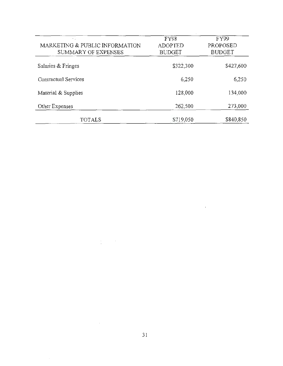| $\tau$ .<br>MARKETING & PUBLIC INFORMATION<br>SUMMARY OF EXPENSES | <b>FY98</b><br><b>ADOPTED</b><br><b>BUDGET</b> | FY99<br>PROPOSED<br><b>BUDGET</b> |
|-------------------------------------------------------------------|------------------------------------------------|-----------------------------------|
| Salaries & Fringes                                                | \$322,300                                      | \$427,600                         |
| Contractual Services                                              | 6,250                                          | 6,250                             |
| Material & Supplies                                               | 128,000                                        | 134,000                           |
| Other Expenses                                                    | 262,500                                        | 273,000                           |
| TOTALS                                                            | \$719,050                                      | \$840,850                         |

 $\frac{1}{2}$  ,  $\frac{1}{2}$  ,  $\frac{1}{2}$ 

 $\epsilon$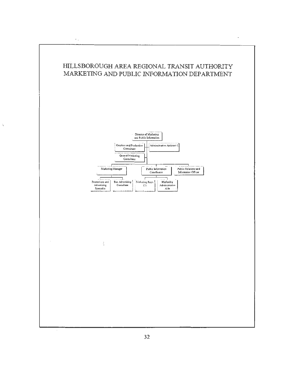

 $\star$  .

 $\overline{\phantom{a}}$ 



 $\ddot{\cdot}$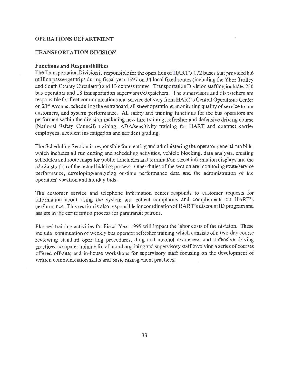### **OPERATIONS-DEPARTMENT**

### **TRANSPORTATION DIVISION**

#### **Functions and Responsibilities**

The Transportation Division is responsible for the operation of HART's 172 buses that provided 8.6 million passenger trips during fiscal year 1997 on 34 local fixed routes (including the Ybor Trolley and South County Circulator) and 13 express routes. Transportation Division staffing includes 250 bus operators and 18 transportation supervisors/dispatchers. The supervisors and dispatchers are responsible for fleet communications and service delivery from HART's Central Operations Center on 21<sup>st</sup> Avenue, scheduling the extraboard, all street operations, monitoring quality of service to our customers, and system performance. All safety and training functions for the bus operators are performed within the division including new hire training, refresher and defensive driving course (National Safety Council) training, ADA/sensitivity training for HART and contract carrier employees, accident investigation and accident grading.

The Scheduling Section is responsible for creating and administering the operator general run bids, which includes all run cutting and scheduling activities, vehicle blocking, data analysis, creating schedules and route maps for public timetables and terminal/on-street information displays and the administration of the actual bidding process. Other duties of the section are monitoring route/service performance, developing/analyzing on-time performance data and the administration of the operators' vacation and holiday bids.

The customer service and telephone information center responds to customer requests for information about using the system and collect complaints and complements on HART's performance. This section is also responsible for coordination of HART's discount ID program and assists in the certification process for paratransit patrons.

Planned training activities for Fiscal Year 1999 will impact the labor costs of the division. These include: continuation of weekly bus operator refresher training which consists of a two-day course reviewing standard operating procedures, drug and alcohol awareness and defensive driving practices; computer training for all non-bargaining and supervisory staff involving a series of courses offered off-site; and in-house workshops for supervisory staff focusing on the development of written communication skills and basic management practices.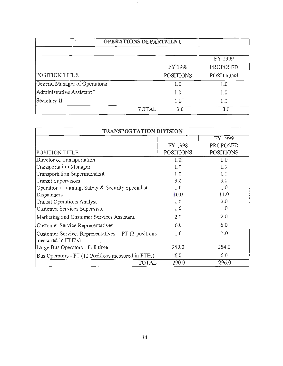| <b>OPERATIONS DEPARTMENT</b>  |                     |                  |  |
|-------------------------------|---------------------|------------------|--|
|                               |                     | FY 1999          |  |
|                               | FY 1998             | PROPOSED         |  |
| <b>POSITION TITLE</b>         | <b>POSITIONS</b>    | <b>POSITIONS</b> |  |
| General Manager of Operations | 1.0                 | 1.0              |  |
| Administrative Assistant I    | 1.0                 | 1.0              |  |
| Secretary II                  | 10                  | 1.0              |  |
|                               | <b>TOTAL</b><br>3.0 | 3.0              |  |

 $\bar{\gamma}$ 

 $\sim$ 

| <b>TRANSPORTATION DIVISION</b>                                            |                  |                  |  |
|---------------------------------------------------------------------------|------------------|------------------|--|
|                                                                           |                  | FY 1999          |  |
|                                                                           | FY 1998          | PROPOSED         |  |
| POSITION TITLE                                                            | <b>POSITIONS</b> | <b>POSITIONS</b> |  |
| Director of Transportation                                                | 1.0              | 1.0              |  |
| <b>Transportation Manager</b>                                             | 1.0              | 1.0              |  |
| Transportation Superintendent                                             | 1.0              | 1.0              |  |
| <b>Transit Supervisors</b>                                                | 9.0              | 9.0              |  |
| Operations Training, Safety & Security Specialist                         | 1.0              | 1.0              |  |
| Dispatchers                                                               | 10.0             | 11.0             |  |
| <b>Transit Operations Analyst</b>                                         | 1.0              | 2.0              |  |
| Customer Services Supervisor                                              | 1.0              | 1.0              |  |
| Marketing and Customer Services Assistant                                 | 2.0              | 2.0              |  |
| Customer Service Representatives                                          | 6.0              | 6.0              |  |
| Customer Service. Representatives - PT (2 positions<br>measured in FTE's) | 1.0              | 1.0              |  |
| Large Bus Operators - Full time                                           | 250.0            | 254.0            |  |
| Bus Operators - PT (12 Positions measured in FTEs)                        | 6.0              | 6.0              |  |
| TOTAL                                                                     | 290.0            | 296.0            |  |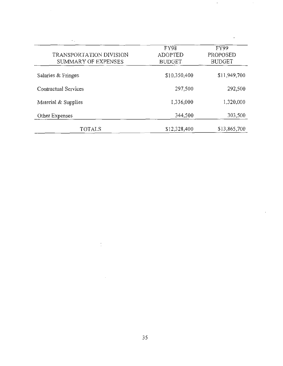| $\ddot{\phantom{0}}$<br><b>TRANSPORTATION DIVISION</b><br>SUMMARY OF EXPENSES | FY98<br><b>ADOPTED</b><br><b>BUDGET</b> | <b>FY99</b><br>PROPOSED<br><b>BUDGET</b> |
|-------------------------------------------------------------------------------|-----------------------------------------|------------------------------------------|
| Salaries & Fringes                                                            | \$10,350,400                            | \$11,949,700                             |
| Contractual Services                                                          | 297,500                                 | 292,500                                  |
| Material & Supplies                                                           | 1,336,000                               | 1,320,000                                |
| Other Expenses                                                                | 344,500                                 | 303,500                                  |
| TOTALS                                                                        | \$12,328,400                            | \$13,865,700                             |

 $\cdot$ 

 $\dot{\cdot}$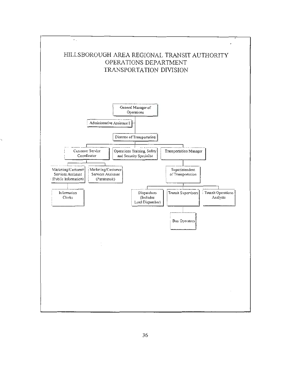

ų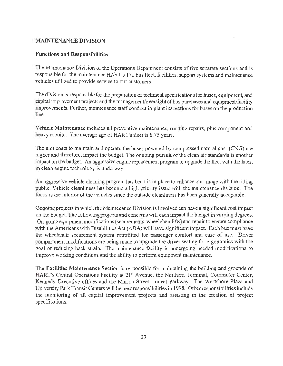## **MAINTENANCE DIVISION**

## Functions and Responsibilities

The Maintenance Division of the Operations Department consists of five separate sections and is responsible for the maintenance HART's 171 bus fleet, facilities, support systems and maintenance vehicles utilized to provide service to our customers.

The division is responsible for the preparation of technical specifications for buses, equipment, and capital improvement projects and the management/oversight of bus purchases and equipment/facility improvements. Further, maintenance staff conduct in plant inspections for buses on the production line.

Vehicle Maintenance includes all preventive maintenance, running repairs, plus component and heavy rebuild. The average age of HART's fleet is 8.75 years.

The unit costs to maintain and operate the buses powered by compressed natural gas (CNG) are higher and therefore, impact the budget. The ongoing pursuit of the clean air standards is another impact on the budget. An aggressive engine replacement program to upgrade the fleet with the latest in clean engine technology is underway.

An aggressive vehicle cleaning program has been is in place to enhance our image with the riding public. Vehicle cleanliness has become a high priority issue with the maintenance division. The focus is the interior of the vehicles since the outside cleanliness has been generally acceptable.

Ongoing projects in which the Maintenance Division is involved can have a significant cost impact on the budget. The following projects and concerns will each impact the budget in varying degrees. On-going equipment modifications (securements, wheelchair lifts) and repair to ensure compliance with the Americans with Disabilities Act (ADA) will have significant impact. Each bus must have the wheelchair securement system retrofitted for passenger comfort and ease of use. Driver compartment modifications are being made to upgrade the driver seating for ergonomics with the goal of reducing back strain. The maintenance facility is undergoing needed modifications to improve working conditions and the ability to perform equipment maintenance.

The Facilities Maintenance Section is responsible for maintaining the building and grounds of HART's Central Operations Facility at 21<sup>st</sup> Avenue, the Northern Terminal, Commuter Center, Kennedy Executive offices and the Marion Street Transit Parkway. The Westshore Plaza and University Park Transit Centers will be new responsibilities in 1998. Other responsibilities include the monitoring of all capital improvement projects and assisting in the creation of project specifications.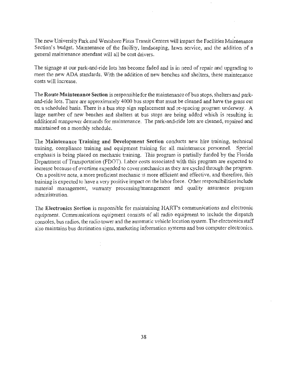. The new University Park and Westshore Plaza Transit Centers will impact the Facilities Maintenance Section's budget. Maintenance of the facility, landscaping, lawn service, and the addition of a general maintenance attendant will all be cost drivers.

The signage at our park-and-ride lots has become faded and is in need of repair and upgrading to meet the new ADA standards. With the addition of new benches and shelters, these maintenance costs will increase.

The Route Maintenance Section is responsible for the maintenance of bus stops, shelters and parkand-ride lots. There are approximately 4000 bus stops that must be cleaned and have the grass cut on a scheduled basis. There is a bus stop sign replacement and re-spacing program underway. A large number of new benches and shelters at bus stops are being added which is resulting in additional manpower demands for maintenance. The park-and-ride lots are cleaned, repaired and maintained on a monthly schedule.

The Maintenance Training and Development Section conducts new hire training, technical training, compliance training and equipment training for all maintenance personnel. Special emphasis is being placed on mechanic training. This program is partially funded by the Florida Department of Transportation (FDOT). Labor costs associated with this program are expected to increase because of overtime expended to cover mechanics as they are cycled through the program. On a positive note, a more proficient mechanic is more efficient and effective, and therefore, this training is expected to have a very positive impact on the labor force. Other responsibilities include material management, warranty processing/management and quality assurance program administration.

The Electronics Section is responsible for maintaining HART's communications and electronic equipment. Communications equipment consists of all radio equipment to include the dispatch consoles, bus radios, the radio tower and the automatic vehicle location system. The electronics staff also maintains bus destination signs, marketing information systems and bus computer electronics.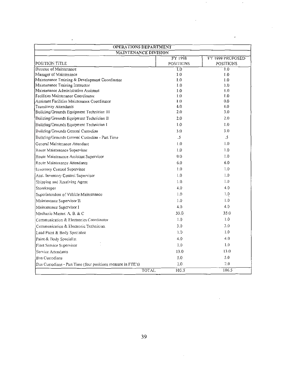| <b>OPERATIONS DEPARTMENT</b>                                       |                  |                  |
|--------------------------------------------------------------------|------------------|------------------|
| <b>MAINTENANCE DIVISION</b>                                        |                  |                  |
|                                                                    | FY 1998          | FY 1999 PROPOSED |
| POSITION TITLE                                                     | <b>POSITIONS</b> | <b>POSITIONS</b> |
| Director of Maintenance                                            | $\overline{1.0}$ | 1.0              |
| Manager of Maintenance                                             | 1.0              | 1.0              |
| Maintenance Training & Development Coordinator                     | 1.0              | 1.0              |
| Maintenance Training Instructor                                    | 0.1              | 1.0              |
| Maintenance Administrative Assistant                               | 1.0              | 1.0              |
| Facilities Maintenance Coordinator                                 | 1.0              | 1.0              |
| Assistant Facilities Maintenance Coordinator                       | 1.0<br>4.0       | 0.0<br>4.0       |
| Transitway Attendants<br>Building/Grounds Equipment Technician III | 2.0              | 3.0              |
|                                                                    |                  | 2.0              |
| Building/Grounds Equipment Technician II                           | 2.0              |                  |
| Building/Grounds Equipment Technician I                            | 1.0              | 1.0              |
| Building/Grounds General Custodian                                 | 3.0              | 3.0              |
| Building/Grounds General Custodian - Part Time                     | .5               | .5               |
| General Maintenance Attendant                                      | 1.0              | 1.0              |
| Route Maintenance Supervisor                                       | 1.0              | 1.0              |
| Route Maintenance Assistant Supervisor                             | 0.0              | 1.0              |
| Route Maintenance Attendants                                       | 6.0              | 6.0              |
| Inventory Control Supervisor                                       | 1.0              | 1.0              |
| Asst. Inventory Control Supervisor                                 | 1.0              | 1.0              |
| Shipping and Receiving Agent                                       | 1.0              | 1.0              |
| Storekeeper                                                        | 4.0              | 4.0              |
| Superintendent of Vehicle Maintenance                              | 1.0              | 1.0              |
| Maintenance Supervisor II                                          | 1.0              | $\mathbf{1.0}$   |
| Maintenance Supervisor I                                           | 4.0              | 4.0              |
| Mechanic Master, A. B. & C                                         | 33.0             | 35.0             |
| Communication & Electronics Coordinator                            | 1.0              | 1.0              |
| Communication & Electronic Technician                              | 3.0              | 3.0              |
| Lead Paint & Body Specialist                                       | 1.0              | 1.0              |
| Paint & Body Specialist                                            | 4.0              | 4.0              |
| Fleet Service Supervisor                                           | 1.0              | 1.0              |
| Service Attendants                                                 | 13.0             | 13.0             |
| <b>Bus Custodians</b>                                              | 50               | 5.0              |
| Bus Custodians - Part Time (four positions measure in FTE's)       | 20               | 2.0              |
| <b>TOTAL</b>                                                       | 103.5            | 106.5            |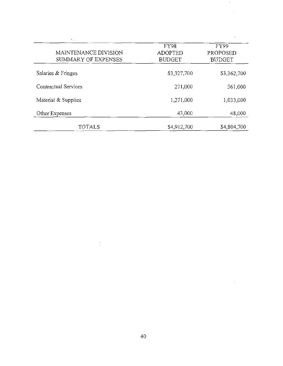| MAINTENANCE DIVISION<br>SUMMARY OF EXPENSES | FY98<br><b>ADOPTED</b><br><b>BUDGET</b> | FY99<br>PROPOSED<br><b>BUDGET</b> |
|---------------------------------------------|-----------------------------------------|-----------------------------------|
| Salaries & Fringes                          | \$3,327,700                             | \$3,362,700                       |
| Contractual Services                        | 271,000                                 | 361,000                           |
| Material & Supplies                         | 1,271,000                               | 1,033,000                         |
| Other Expenses                              | 43,000                                  | 48,000                            |
| TOTALS                                      | \$4,912,700                             | \$4,804,700                       |

 $\overline{a}$ 

 $\overline{\phantom{a}}$ 

 $\frac{1}{2}$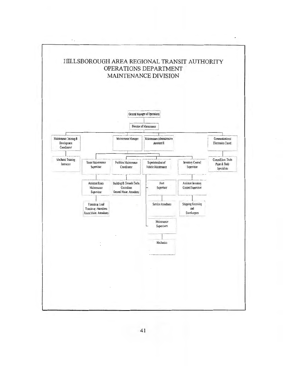